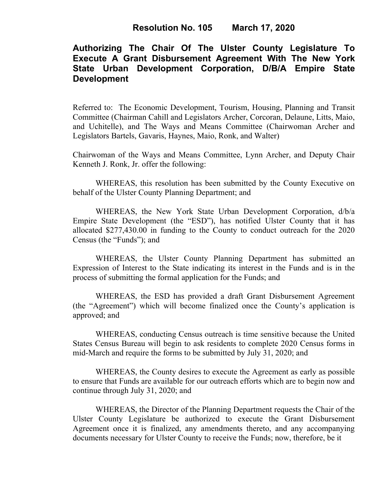# **Authorizing The Chair Of The Ulster County Legislature To Execute A Grant Disbursement Agreement With The New York State Urban Development Corporation, D/B/A Empire State Development**

Referred to: The Economic Development, Tourism, Housing, Planning and Transit Committee (Chairman Cahill and Legislators Archer, Corcoran, Delaune, Litts, Maio, and Uchitelle), and The Ways and Means Committee (Chairwoman Archer and Legislators Bartels, Gavaris, Haynes, Maio, Ronk, and Walter)

Chairwoman of the Ways and Means Committee, Lynn Archer, and Deputy Chair Kenneth J. Ronk, Jr. offer the following:

WHEREAS, this resolution has been submitted by the County Executive on behalf of the Ulster County Planning Department; and

WHEREAS, the New York State Urban Development Corporation, d/b/a Empire State Development (the "ESD"), has notified Ulster County that it has allocated \$277,430.00 in funding to the County to conduct outreach for the 2020 Census (the "Funds"); and

WHEREAS, the Ulster County Planning Department has submitted an Expression of Interest to the State indicating its interest in the Funds and is in the process of submitting the formal application for the Funds; and

WHEREAS, the ESD has provided a draft Grant Disbursement Agreement (the "Agreement") which will become finalized once the County's application is approved; and

WHEREAS, conducting Census outreach is time sensitive because the United States Census Bureau will begin to ask residents to complete 2020 Census forms in mid-March and require the forms to be submitted by July 31, 2020; and

WHEREAS, the County desires to execute the Agreement as early as possible to ensure that Funds are available for our outreach efforts which are to begin now and continue through July 31, 2020; and

WHEREAS, the Director of the Planning Department requests the Chair of the Ulster County Legislature be authorized to execute the Grant Disbursement Agreement once it is finalized, any amendments thereto, and any accompanying documents necessary for Ulster County to receive the Funds; now, therefore, be it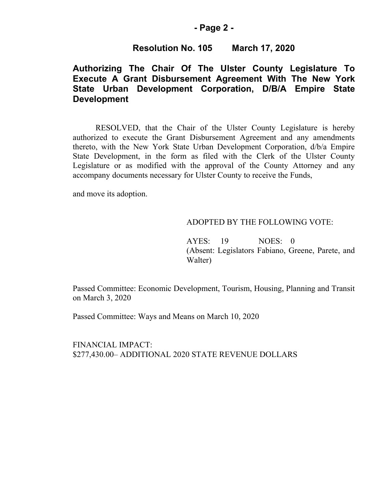### **- Page 2 -**

## **Resolution No. 105 March 17, 2020**

## **Authorizing The Chair Of The Ulster County Legislature To Execute A Grant Disbursement Agreement With The New York State Urban Development Corporation, D/B/A Empire State Development**

RESOLVED, that the Chair of the Ulster County Legislature is hereby authorized to execute the Grant Disbursement Agreement and any amendments thereto, with the New York State Urban Development Corporation, d/b/a Empire State Development, in the form as filed with the Clerk of the Ulster County Legislature or as modified with the approval of the County Attorney and any accompany documents necessary for Ulster County to receive the Funds,

and move its adoption.

#### ADOPTED BY THE FOLLOWING VOTE:

AYES: 19 NOES: 0 (Absent: Legislators Fabiano, Greene, Parete, and Walter)

Passed Committee: Economic Development, Tourism, Housing, Planning and Transit on March 3, 2020

Passed Committee: Ways and Means on March 10, 2020

FINANCIAL IMPACT: \$277,430.00– ADDITIONAL 2020 STATE REVENUE DOLLARS